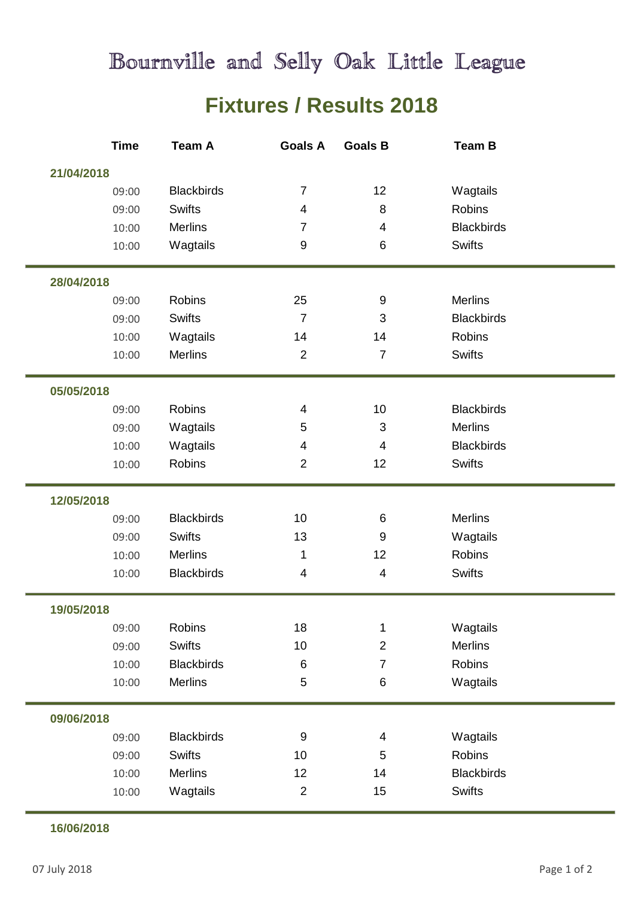## Bournville and Selly Oak Little League

## **Fixtures / Results 2018**

| <b>Time</b> | <b>Team A</b>     | <b>Goals A</b>          | <b>Goals B</b>            | <b>Team B</b>     |  |
|-------------|-------------------|-------------------------|---------------------------|-------------------|--|
| 21/04/2018  |                   |                         |                           |                   |  |
| 09:00       | <b>Blackbirds</b> | $\overline{7}$          | 12                        | Wagtails          |  |
| 09:00       | <b>Swifts</b>     | $\overline{\mathbf{4}}$ | 8                         | <b>Robins</b>     |  |
| 10:00       | <b>Merlins</b>    | $\overline{7}$          | 4                         | <b>Blackbirds</b> |  |
| 10:00       | Wagtails          | 9                       | 6                         | <b>Swifts</b>     |  |
| 28/04/2018  |                   |                         |                           |                   |  |
| 09:00       | Robins            | 25                      | $\boldsymbol{9}$          | <b>Merlins</b>    |  |
| 09:00       | <b>Swifts</b>     | $\overline{7}$          | 3                         | <b>Blackbirds</b> |  |
| 10:00       | Wagtails          | 14                      | 14                        | <b>Robins</b>     |  |
| 10:00       | <b>Merlins</b>    | $\overline{2}$          | $\overline{7}$            | <b>Swifts</b>     |  |
| 05/05/2018  |                   |                         |                           |                   |  |
| 09:00       | <b>Robins</b>     | 4                       | 10                        | <b>Blackbirds</b> |  |
| 09:00       | Wagtails          | 5                       | $\ensuremath{\mathsf{3}}$ | <b>Merlins</b>    |  |
| 10:00       | Wagtails          | $\overline{\mathbf{4}}$ | $\overline{4}$            | <b>Blackbirds</b> |  |
| 10:00       | Robins            | $\overline{2}$          | 12                        | <b>Swifts</b>     |  |
| 12/05/2018  |                   |                         |                           |                   |  |
| 09:00       | <b>Blackbirds</b> | 10                      | $\,6\,$                   | <b>Merlins</b>    |  |
| 09:00       | <b>Swifts</b>     | 13                      | $9\,$                     | Wagtails          |  |
| 10:00       | <b>Merlins</b>    | 1                       | 12                        | <b>Robins</b>     |  |
| 10:00       | <b>Blackbirds</b> | $\overline{\mathbf{4}}$ | $\overline{\mathbf{4}}$   | <b>Swifts</b>     |  |
| 19/05/2018  |                   |                         |                           |                   |  |
| 09:00       | Robins            | 18                      | $\mathbf{1}$              | Wagtails          |  |
| 09:00       | <b>Swifts</b>     | 10                      | $\overline{2}$            | <b>Merlins</b>    |  |
| 10:00       | <b>Blackbirds</b> | 6                       | $\overline{7}$            | Robins            |  |
| 10:00       | <b>Merlins</b>    | 5                       | $\,6$                     | Wagtails          |  |
| 09/06/2018  |                   |                         |                           |                   |  |
| 09:00       | <b>Blackbirds</b> | $9\,$                   | $\overline{\mathbf{4}}$   | Wagtails          |  |
| 09:00       | <b>Swifts</b>     | 10                      | $\sqrt{5}$                | Robins            |  |
| 10:00       | <b>Merlins</b>    | 12                      | 14                        | <b>Blackbirds</b> |  |
| 10:00       | Wagtails          | $\overline{2}$          | 15                        | <b>Swifts</b>     |  |
|             |                   |                         |                           |                   |  |

## **16/06/2018**